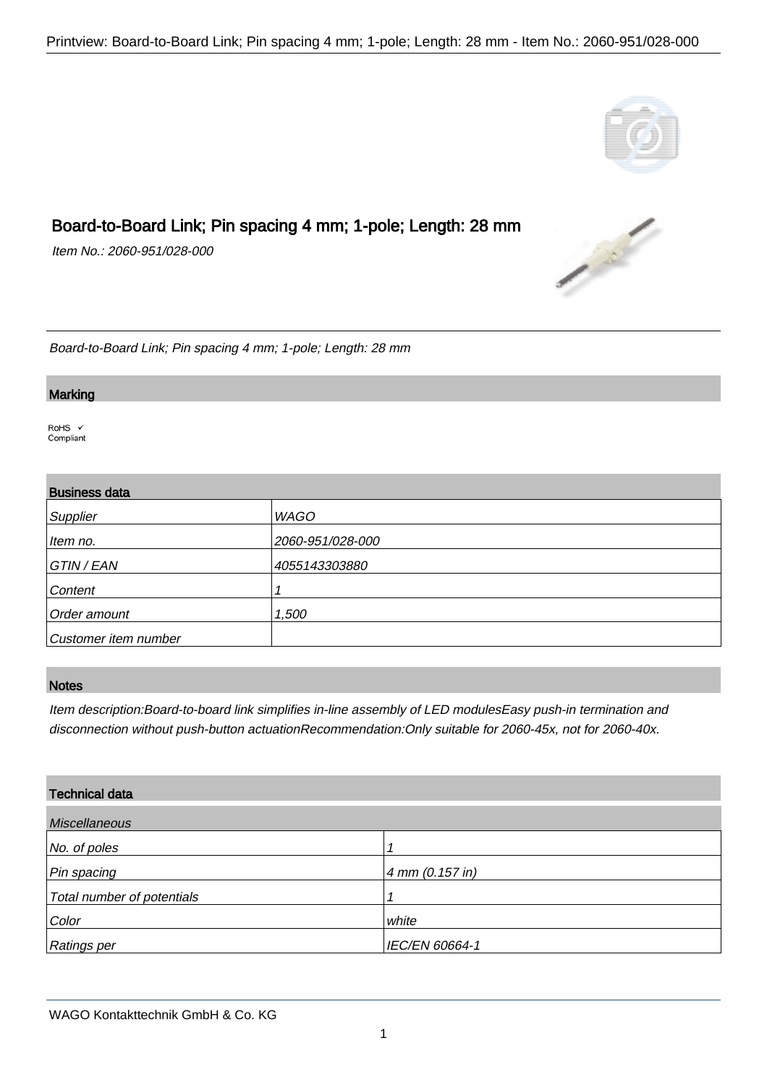

## Board-to-Board Link; Pin spacing 4 mm; 1-pole; Length: 28 mm

Item No.: 2060-951/028-000

Board-to-Board Link; Pin spacing 4 mm; 1-pole; Length: 28 mm

#### **Marking**

.

.

RoHS V Compliant

# Business data Supplier WAGO Item no. 2060-951/028-000 GTIN / EAN 4055143303880 Content 1 Order amount 1,500 Customer item number

#### **Notes**

.

Item description:Board-to-board link simplifies in-line assembly of LED modulesEasy push-in termination and disconnection without push-button actuationRecommendation:Only suitable for 2060-45x, not for 2060-40x.

| <b>Technical data</b>      |                   |
|----------------------------|-------------------|
| <b>Miscellaneous</b>       |                   |
| No. of poles               |                   |
| Pin spacing                | $4$ mm (0.157 in) |
| Total number of potentials |                   |
| Color                      | white             |
| Ratings per                | IEC/EN 60664-1    |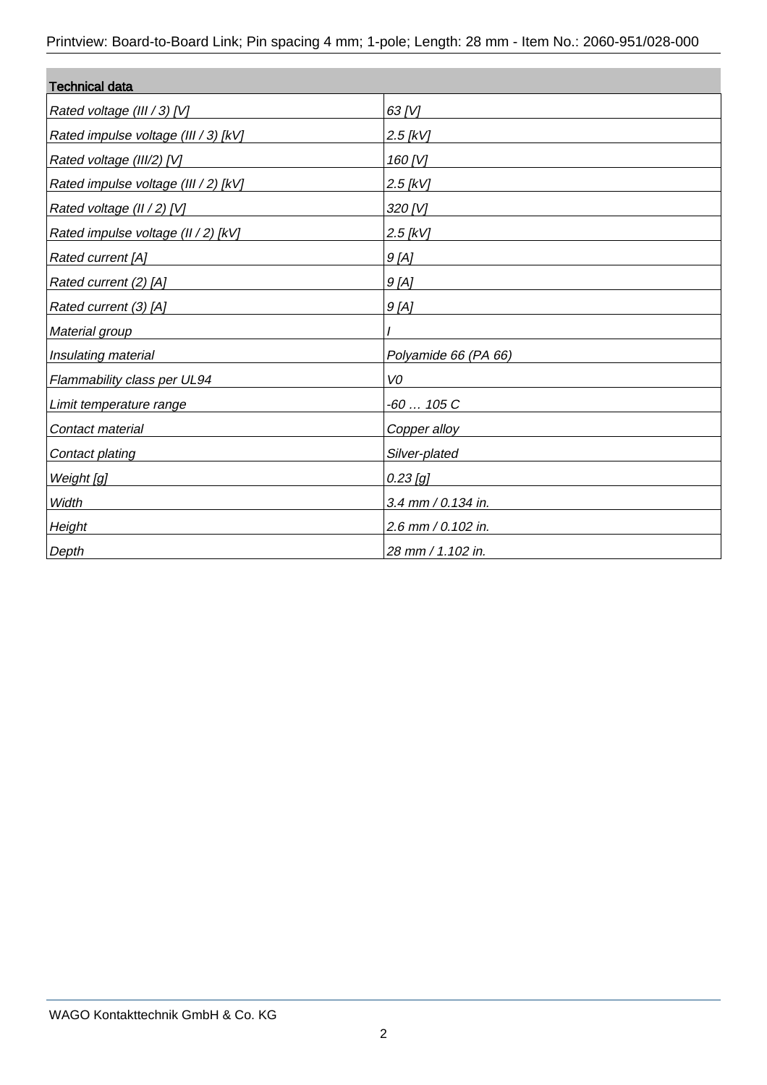Printview: Board-to-Board Link; Pin spacing 4 mm; 1-pole; Length: 28 mm - Item No.: 2060-951/028-000

| <b>Technical data</b>                |                      |
|--------------------------------------|----------------------|
| Rated voltage (III / 3) [V]          | 63 [V]               |
| Rated impulse voltage (III / 3) [kV] | 2.5 [kV]             |
| Rated voltage (III/2) [V]            | 160 [V]              |
| Rated impulse voltage (III / 2) [kV] | $2.5$ [kV]           |
| Rated voltage (II / 2) [V]           | 320 [V]              |
| Rated impulse voltage (II / 2) [kV]  | 2.5 [kV]             |
| Rated current [A]                    | 9[A]                 |
| Rated current (2) [A]                | 9[A]                 |
| Rated current (3) [A]                | 9 [A]                |
| Material group                       |                      |
| Insulating material                  | Polyamide 66 (PA 66) |
| Flammability class per UL94          | V0                   |
| Limit temperature range              | $-60105C$            |
| Contact material                     | Copper alloy         |
| Contact plating                      | Silver-plated        |
| Weight [g]                           | $0.23$ [g]           |
| Width                                | 3.4 mm / 0.134 in.   |
| Height                               | 2.6 mm / 0.102 in.   |
| Depth                                | 28 mm / 1.102 in.    |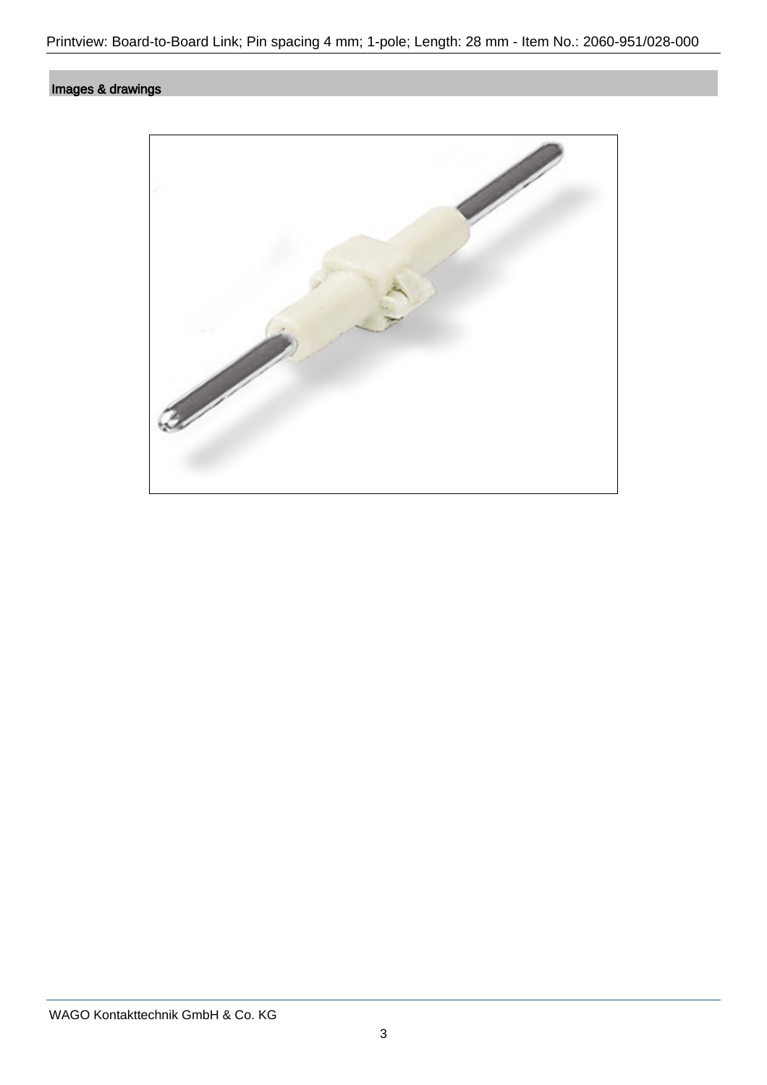## Images & drawings

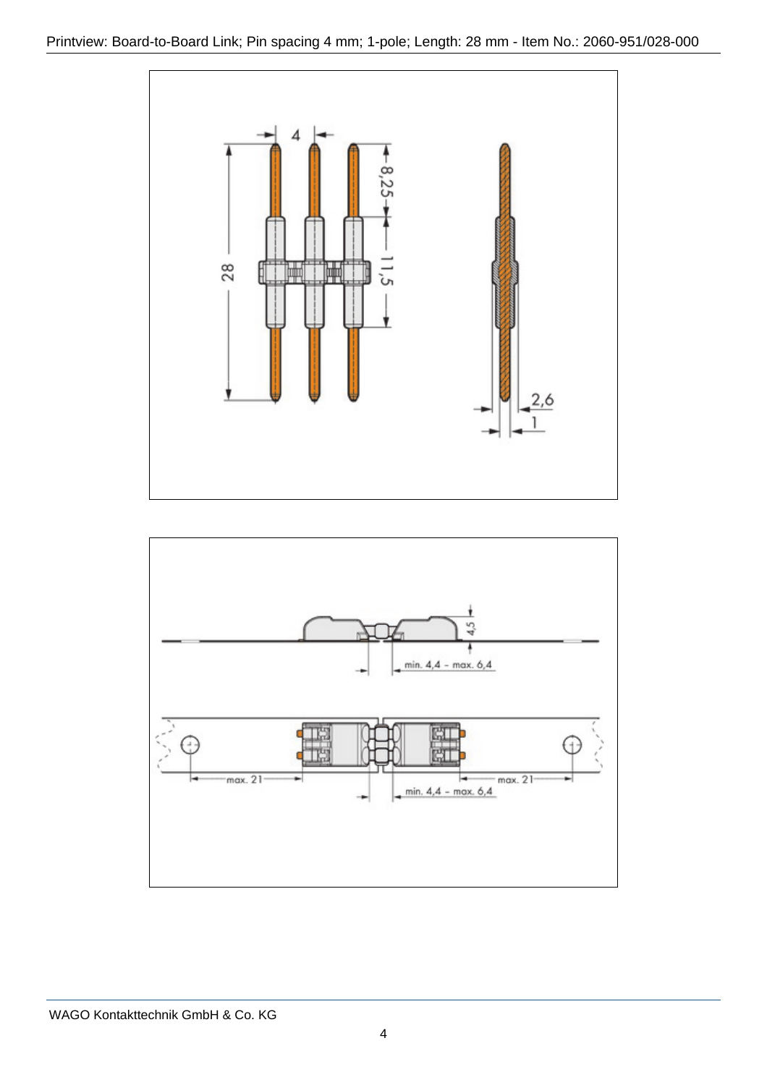